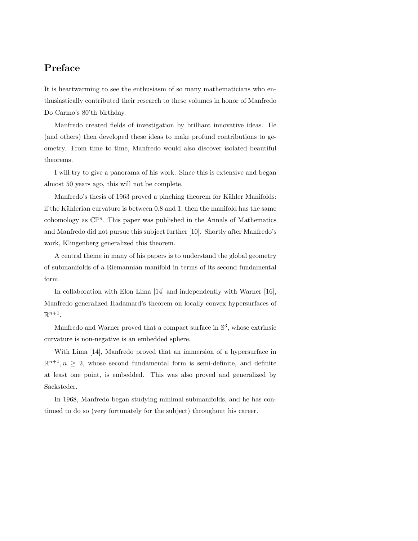## Preface

It is heartwarming to see the enthusiasm of so many mathematicians who enthusiastically contributed their research to these volumes in honor of Manfredo Do Carmo's 80'th birthday.

Manfredo created fields of investigation by brilliant innovative ideas. He (and others) then developed these ideas to make profund contributions to geometry. From time to time, Manfredo would also discover isolated beautiful theorems.

I will try to give a panorama of his work. Since this is extensive and began almost 50 years ago, this will not be complete.

Manfredo's thesis of 1963 proved a pinching theorem for Kähler Manifolds: if the Kählerian curvature is between  $0.8$  and  $1$ , then the manifold has the same cohomology as  $\mathbb{CP}^n$ . This paper was published in the Annals of Mathematics and Manfredo did not pursue this subject further [10]. Shortly after Manfredo's work, Klingenberg generalized this theorem.

A central theme in many of his papers is to understand the global geometry of submanifolds of a Riemannian manifold in terms of its second fundamental form.

In collaboration with Elon Lima [14] and independently with Warner [16], Manfredo generalized Hadamard's theorem on locally convex hypersurfaces of  $\mathbb{R}^{n+1}$ .

Manfredo and Warner proved that a compact surface in  $\mathbb{S}^3$ , whose extrinsic curvature is non-negative is an embedded sphere.

With Lima [14], Manfredo proved that an immersion of a hypersurface in  $\mathbb{R}^{n+1}, n \geq 2$ , whose second fundamental form is semi-definite, and definite at least one point, is embedded. This was also proved and generalized by Sacksteder.

In 1968, Manfredo began studying minimal submanifolds, and he has continued to do so (very fortunately for the subject) throughout his career.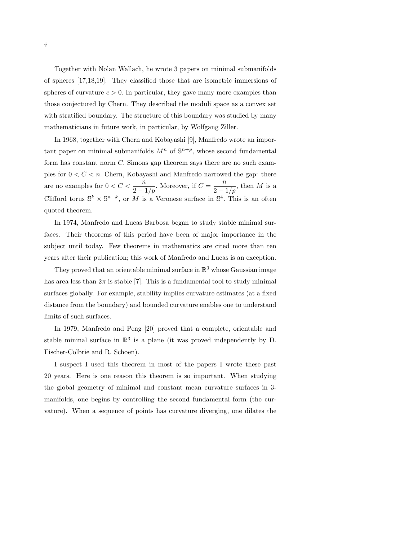Together with Nolan Wallach, he wrote 3 papers on minimal submanifolds of spheres [17,18,19]. They classified those that are isometric immersions of spheres of curvature  $c > 0$ . In particular, they gave many more examples than those conjectured by Chern. They described the moduli space as a convex set with stratified boundary. The structure of this boundary was studied by many mathematicians in future work, in particular, by Wolfgang Ziller.

In 1968, together with Chern and Kobayashi [9], Manfredo wrote an important paper on minimal submanifolds  $M^n$  of  $\mathbb{S}^{n+p}$ , whose second fundamental form has constant norm C. Simons gap theorem says there are no such examples for  $0 < C < n$ . Chern, Kobayashi and Manfredo narrowed the gap: there are no examples for  $0 < C < \frac{n}{2 - 1/p}$ . Moreover, if  $C = \frac{n}{2 - 1/p}$ , then M is a Clifford torus  $\mathbb{S}^k \times \mathbb{S}^{n-k}$ , or M is a Veronese surface in  $\mathbb{S}^4$ . This is an often quoted theorem.

In 1974, Manfredo and Lucas Barbosa began to study stable minimal surfaces. Their theorems of this period have been of major importance in the subject until today. Few theorems in mathematics are cited more than ten years after their publication; this work of Manfredo and Lucas is an exception.

They proved that an orientable minimal surface in  $\mathbb{R}^3$  whose Gaussian image has area less than  $2\pi$  is stable [7]. This is a fundamental tool to study minimal surfaces globally. For example, stability implies curvature estimates (at a fixed distance from the boundary) and bounded curvature enables one to understand limits of such surfaces.

In 1979, Manfredo and Peng [20] proved that a complete, orientable and stable mininal surface in  $\mathbb{R}^3$  is a plane (it was proved independently by D. Fischer-Colbrie and R. Schoen).

I suspect I used this theorem in most of the papers I wrote these past 20 years. Here is one reason this theorem is so important. When studying the global geometry of minimal and constant mean curvature surfaces in 3 manifolds, one begins by controlling the second fundamental form (the curvature). When a sequence of points has curvature diverging, one dilates the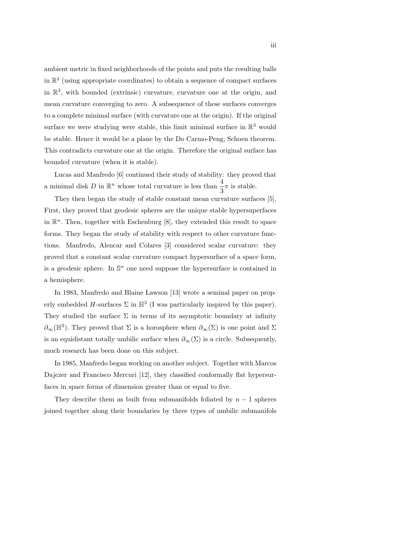ambient metric in fixed neighborhoods of the points and puts the resulting balls in  $\mathbb{R}^3$  (using appropriate coordinates) to obtain a sequence of compact surfaces in  $\mathbb{R}^3$ , with bounded (extrinsic) curvature, curvature one at the origin, and mean curvature converging to zero. A subsequence of these surfaces converges to a complete minimal surface (with curvature one at the origin). If the original surface we were studying were stable, this limit minimal surface in  $\mathbb{R}^3$  would be stable. Hence it would be a plane by the Do Carmo-Peng, Schoen theorem. This contradicts curvature one at the origin. Therefore the original surface has bounded curvature (when it is stable).

Lucas and Manfredo [6] continued their study of stability: they proved that a minimal disk  $D$  in  $\mathbb{R}^n$  whose total curvature is less than  $\frac{4}{3}\pi$  is stable.

They then began the study of stable constant mean curvature surfaces [5]. First, they proved that geodesic spheres are the unique stable hypersuperfaces in  $\mathbb{R}^n$ . Then, together with Eschenburg [8], they extended this result to space forms. They began the study of stability with respect to other curvature functions. Manfredo, Alencar and Colares [3] considered scalar curvature: they proved that a constant scalar curvature compact hypersurface of a space form, is a geodesic sphere. In  $\mathbb{S}^n$  one need suppose the hypersurface is contained in a hemisphere.

In 1983, Manfredo and Blaine Lawson [13] wrote a seminal paper on properly embedded H-surfaces  $\Sigma$  in  $\mathbb{H}^3$  (I was particularly inspired by this paper). They studied the surface  $\Sigma$  in terms of its asymptotic boundary at infinity  $\partial_{\infty}(\mathbb{H}^{3})$ . They proved that  $\Sigma$  is a horosphere when  $\partial_{\infty}(\Sigma)$  is one point and  $\Sigma$ is an equidistant totally umbilic surface when  $\partial_{\infty}(\Sigma)$  is a circle. Subsequently, much research has been done on this subject.

In 1985, Manfredo began working on another subject. Together with Marcos Dajczer and Francisco Mercuri [12], they classified conformally flat hypersurfaces in space forms of dimension greater than or equal to five.

They describe them as built from submanifolds foliated by  $n-1$  spheres joined together along their boundaries by three types of umbilic submanifols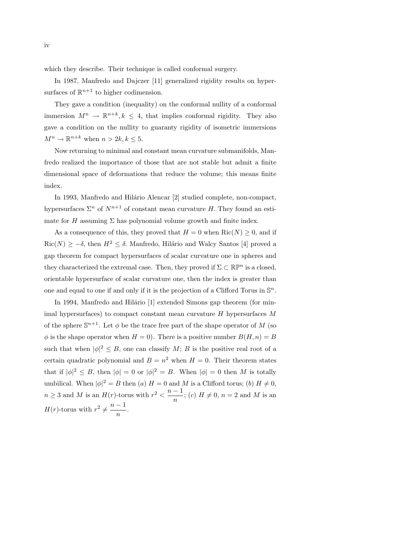which they describe. Their technique is called conformal surgery.

In 1987, Manfredo and Dajczer [11] generalized rigidity results on hypersurfaces of  $\mathbb{R}^{n+1}$  to higher codimension.

They gave a condition (inequality) on the conformal nullity of a conformal immersion  $M^n \to \mathbb{R}^{n+k}, k \leq 4$ , that implies conformal rigidity. They also gave a condition on the nullity to guaranty rigidity of isometric immersions  $M^n \to \mathbb{R}^{n+k}$  when  $n > 2k, k \leq 5$ .

Now returning to minimal and constant mean curvature submanifolds, Manfredo realized the importance of those that are not stable but admit a finite dimensional space of deformations that reduce the volume; this means finite index.

In 1993, Manfredo and Hilário Alencar [2] studied complete, non-compact, hypersurfaces  $\Sigma^n$  of  $N^{n+1}$  of constant mean curvature H. They found an estimate for H assuming  $\Sigma$  has polynomial volume growth and finite index.

As a consequence of this, they proved that  $H = 0$  when  $\text{Ric}(N) \geq 0$ , and if  $\text{Ric}(N) \geq -\delta$ , then  $H^2 \leq \delta$ . Manfredo, Hilário and Walcy Santos [4] proved a gap theorem for compact hypersurfaces of scalar curvature one in spheres and they characterized the extremal case. Then, they proved if  $\Sigma \subset \mathbb{RP}^n$  is a closed, orientable hypersurface of scalar curvature one, then the index is greater than one and equal to one if and only if it is the projection of a Clifford Torus in  $\mathbb{S}^n$ .

In 1994, Manfredo and Hilário  $[1]$  extended Simons gap theorem (for minimal hypersurfaces) to compact constant mean curvature  $H$  hypersurfaces  $M$ of the sphere  $\mathbb{S}^{n+1}$ . Let  $\phi$  be the trace free part of the shape operator of M (so  $\phi$  is the shape operator when  $H = 0$ . There is a positive number  $B(H, n) = B$ such that when  $|\phi|^2 \leq B$ , one can classify M; B is the positive real root of a certain quadratic polynomial and  $B = n^2$  when  $H = 0$ . Their theorem states that if  $|\phi|^2 \leq B$ , then  $|\phi| = 0$  or  $|\phi|^2 = B$ . When  $|\phi| = 0$  then M is totally umbilical. When  $|\phi|^2 = B$  then  $(a)$   $H = 0$  and M is a Clifford torus;  $(b)$   $H \neq 0$ ,  $n \geq 3$  and M is an  $H(r)$ -torus with  $r^2 < \frac{n-1}{r}$  $\frac{1}{n}$ ; (c)  $H \neq 0$ ,  $n = 2$  and M is an  $H(r)$ -torus with  $r^2 \neq \frac{n-1}{r}$  $\frac{1}{n}$ .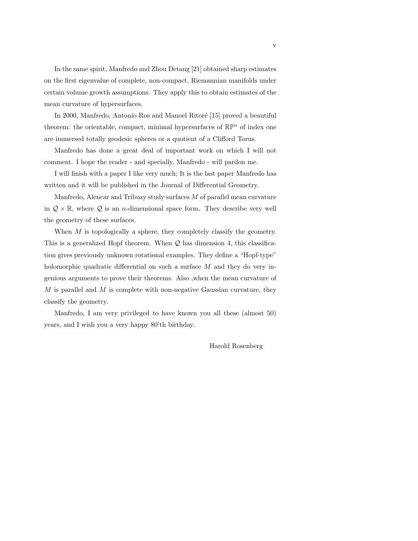In the same spirit, Manfredo and Zhou Detang [21] obtained sharp estimates on the first eigenvalue of complete, non-compact, Riemannian manifolds under certain volume growth assumptions. They apply this to obtain estimates of the mean curvature of hypersurfaces.

In 2000, Manfredo, Antonio Ros and Manoel Ritoré [15] proved a beautiful theorem: the orientable, compact, minimal hypersurfaces of  $\mathbb{R}\mathbb{P}^n$  of index one are immersed totally geodesic spheres or a quotient of a Clifford Torus.

Manfredo has done a great deal of important work on which I will not comment. I hope the reader - and specially, Manfredo - will pardon me.

I will finish with a paper I like very much; It is the last paper Manfredo has written and it will be published in the Journal of Differential Geometry.

Manfredo, Alencar and Tribuzy study surfaces  $M$  of parallel mean curvature in  $Q \times \mathbb{R}$ , where Q is an *n*-dimensional space form. They describe very well the geometry of these surfaces.

When  $M$  is topologically a sphere, they completely classify the geometry. This is a generalized Hopf theorem. When  $Q$  has dimension 4, this classification gives previously unknown rotational examples. They define a "Hopf-type" holomorphic quadratic differential on such a surface M and they do very ingenious arguments to prove their theorems. Also ,when the mean curvature of  $M$  is parallel and  $M$  is complete with non-negative Gaussian curvature, they classify the geometry.

Manfredo, I am very privileged to have known you all these (almost 50) years, and I wish you a very happy 80'th birthday.

Harold Rosenberg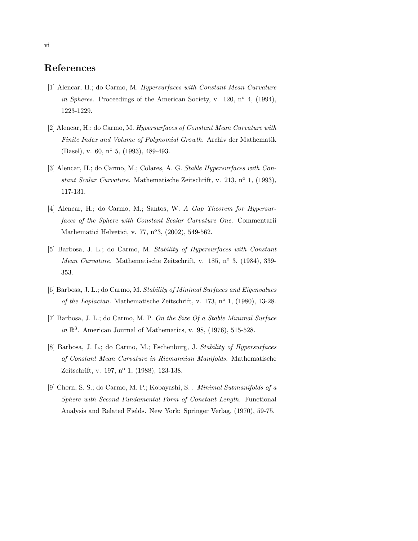## References

- [1] Alencar, H.; do Carmo, M. Hypersurfaces with Constant Mean Curvature in Spheres. Proceedings of the American Society, v. 120,  $n^{\circ}$  4, (1994), 1223-1229.
- [2] Alencar, H.; do Carmo, M. Hypersurfaces of Constant Mean Curvature with Finite Index and Volume of Polynomial Growth. Archiv der Mathematik (Basel), v. 60, n<sup>o</sup> 5, (1993), 489-493.
- [3] Alencar, H.; do Carmo, M.; Colares, A. G. Stable Hypersurfaces with Constant Scalar Curvature. Mathematische Zeitschrift, v. 213, n° 1, (1993), 117-131.
- [4] Alencar, H.; do Carmo, M.; Santos, W. A Gap Theorem for Hypersurfaces of the Sphere with Constant Scalar Curvature One. Commentarii Mathematici Helvetici, v. 77, nº3, (2002), 549-562.
- [5] Barbosa, J. L.; do Carmo, M. Stability of Hypersurfaces with Constant Mean Curvature. Mathematische Zeitschrift, v. 185, n° 3, (1984), 339-353.
- [6] Barbosa, J. L.; do Carmo, M. Stability of Minimal Surfaces and Eigenvalues of the Laplacian. Mathematische Zeitschrift, v. 173,  $n^{\circ}$  1, (1980), 13-28.
- [7] Barbosa, J. L.; do Carmo, M. P. On the Size Of a Stable Minimal Surface in  $\mathbb{R}^3$ . American Journal of Mathematics, v. 98, (1976), 515-528.
- [8] Barbosa, J. L.; do Carmo, M.; Eschenburg, J. Stability of Hypersurfaces of Constant Mean Curvature in Riemannian Manifolds. Mathematische Zeitschrift, v. 197, nº 1, (1988), 123-138.
- [9] Chern, S. S.; do Carmo, M. P.; Kobayashi, S. . Minimal Submanifolds of a Sphere with Second Fundamental Form of Constant Length. Functional Analysis and Related Fields. New York: Springer Verlag, (1970), 59-75.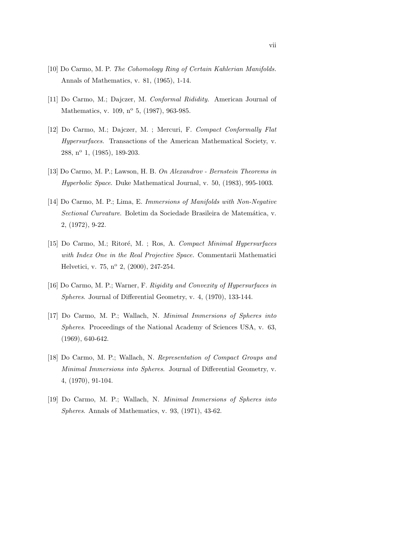- [10] Do Carmo, M. P. The Cohomology Ring of Certain Kahlerian Manifolds. Annals of Mathematics, v. 81, (1965), 1-14.
- [11] Do Carmo, M.; Dajczer, M. Conformal Rididity. American Journal of Mathematics, v. 109, nº 5, (1987), 963-985.
- [12] Do Carmo, M.; Dajczer, M. ; Mercuri, F. Compact Conformally Flat Hypersurfaces. Transactions of the American Mathematical Society, v. 288, n<sup>o</sup> 1, (1985), 189-203.
- [13] Do Carmo, M. P.; Lawson, H. B. On Alexandrov Bernstein Theorems in Hyperbolic Space. Duke Mathematical Journal, v. 50, (1983), 995-1003.
- [14] Do Carmo, M. P.; Lima, E. Immersions of Manifolds with Non-Negative Sectional Curvature. Boletim da Sociedade Brasileira de Matemática, v. 2, (1972), 9-22.
- [15] Do Carmo, M.; Ritoré, M. ; Ros, A. Compact Minimal Hypersurfaces with Index One in the Real Projective Space. Commentarii Mathematici Helvetici, v. 75, nº 2, (2000), 247-254.
- [16] Do Carmo, M. P.; Warner, F. Rigidity and Convexity of Hypersurfaces in Spheres. Journal of Differential Geometry, v. 4, (1970), 133-144.
- [17] Do Carmo, M. P.; Wallach, N. Minimal Immersions of Spheres into Spheres. Proceedings of the National Academy of Sciences USA, v. 63, (1969), 640-642.
- [18] Do Carmo, M. P.; Wallach, N. Representation of Compact Groups and Minimal Immersions into Spheres. Journal of Differential Geometry, v. 4, (1970), 91-104.
- [19] Do Carmo, M. P.; Wallach, N. Minimal Immersions of Spheres into Spheres. Annals of Mathematics, v. 93, (1971), 43-62.